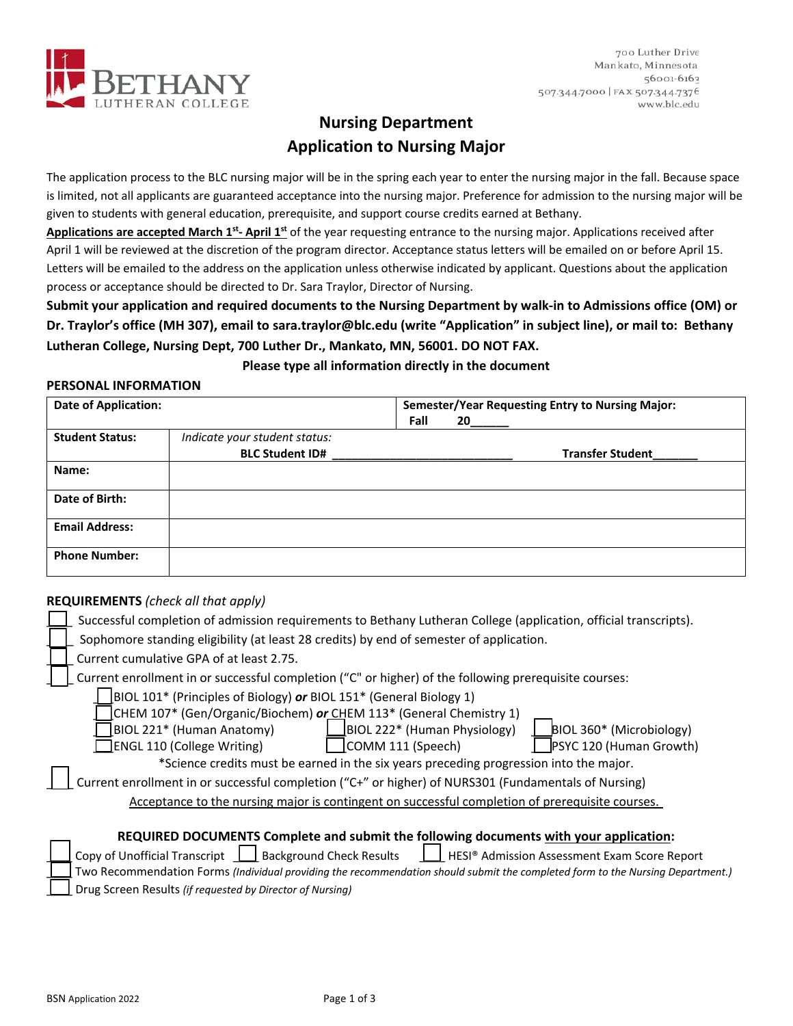

700 Luther Drive Mankato, Minnesota 56001-6163 507.344.7000 | FAX 507.344.7376 www.blc.edu

# **Nursing Department Application to Nursing Major**

The application process to the BLC nursing major will be in the spring each year to enter the nursing major in the fall. Because space is limited, not all applicants are guaranteed acceptance into the nursing major. Preference for admission to the nursing major will be given to students with general education, prerequisite, and support course credits earned at Bethany.

**Applications are accepted March 1st‐ April 1st** of the year requesting entrance to the nursing major. Applications received after April 1 will be reviewed at the discretion of the program director. Acceptance status letters will be emailed on or before April 15. Letters will be emailed to the address on the application unless otherwise indicated by applicant. Questions about the application process or acceptance should be directed to Dr. Sara Traylor, Director of Nursing.

**Submit your application and required documents to the Nursing Department by walk‐in to Admissions office (OM) or Dr. Traylor's office (MH 307), email to sara.traylor@blc.edu (write "Application" in subject line), or mail to: Bethany Lutheran College, Nursing Dept, 700 Luther Dr., Mankato, MN, 56001. DO NOT FAX.** 

## **Please type all information directly in the document**

### **PERSONAL INFORMATION**

| <b>Date of Application:</b> |                               |      | <b>Semester/Year Requesting Entry to Nursing Major:</b> |  |
|-----------------------------|-------------------------------|------|---------------------------------------------------------|--|
|                             |                               | Fall | 20                                                      |  |
| <b>Student Status:</b>      | Indicate your student status: |      |                                                         |  |
|                             | <b>BLC Student ID#</b>        |      | <b>Transfer Student</b>                                 |  |
| Name:                       |                               |      |                                                         |  |
| Date of Birth:              |                               |      |                                                         |  |
| <b>Email Address:</b>       |                               |      |                                                         |  |
| <b>Phone Number:</b>        |                               |      |                                                         |  |

## **REQUIREMENTS** *(check all that apply)*

| Successful completion of admission requirements to Bethany Lutheran College (application, official transcripts).               |
|--------------------------------------------------------------------------------------------------------------------------------|
| Sophomore standing eligibility (at least 28 credits) by end of semester of application.                                        |
| Current cumulative GPA of at least 2.75.                                                                                       |
| Current enrollment in or successful completion ("C" or higher) of the following prerequisite courses:                          |
| BIOL 101* (Principles of Biology) or BIOL 151* (General Biology 1)                                                             |
| CHEM 107* (Gen/Organic/Biochem) or CHEM 113* (General Chemistry 1)                                                             |
| BIOL 221* (Human Anatomy)<br>BIOL 222* (Human Physiology)<br>BIOL 360* (Microbiology)                                          |
| PSYC 120 (Human Growth)<br><b>ENGL 110 (College Writing)</b><br>COMM 111 (Speech)                                              |
| *Science credits must be earned in the six years preceding progression into the major.                                         |
| Current enrollment in or successful completion ("C+" or higher) of NURS301 (Fundamentals of Nursing)                           |
| Acceptance to the nursing major is contingent on successful completion of prerequisite courses.                                |
|                                                                                                                                |
| REQUIRED DOCUMENTS Complete and submit the following documents with your application:                                          |
| Copy of Unofficial Transcript   Background Check Results<br>HESI® Admission Assessment Exam Score Report                       |
| Two Recommendation Forms (Individual providing the recommendation should submit the completed form to the Nursing Department.) |
| Drug Caroon Bosulta (if requested by Director of Nursinal                                                                      |

\_\_\_\_ Drug Screen Results *(if requested by Director of Nursing)*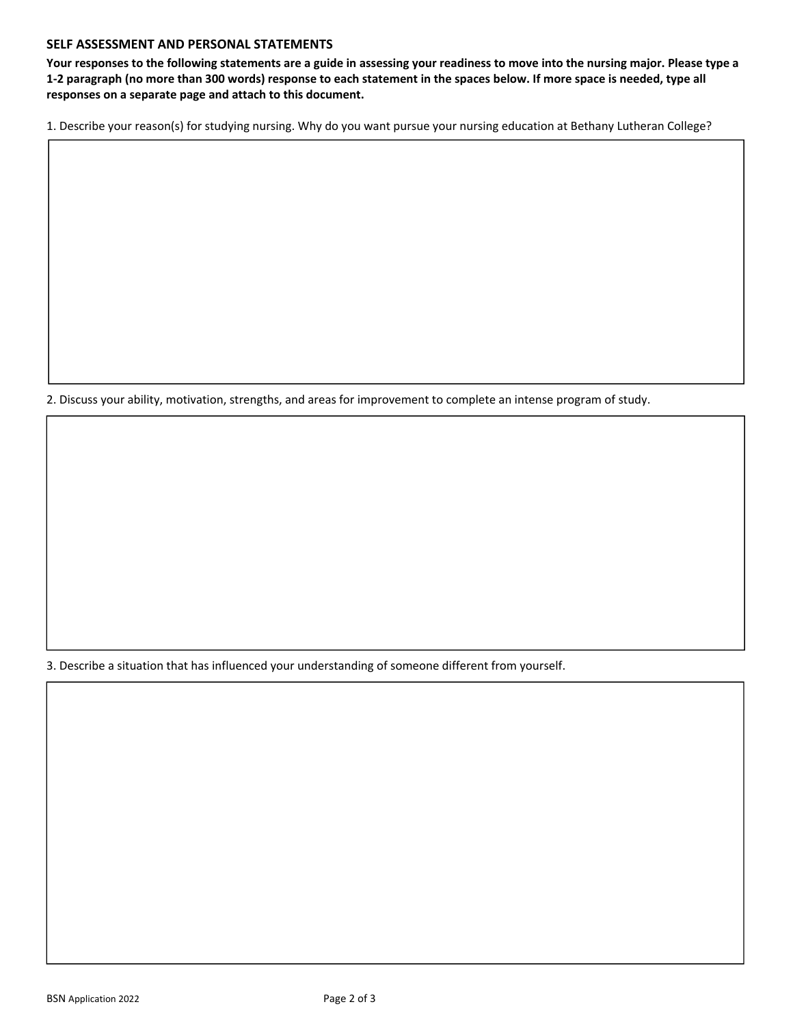### **SELF ASSESSMENT AND PERSONAL STATEMENTS**

**Your responses to the following statements are a guide in assessing your readiness to move into the nursing major. Please type a 1‐2 paragraph (no more than 300 words) response to each statement in the spaces below. If more space is needed, type all responses on a separate page and attach to this document.** 

1. Describe your reason(s) for studying nursing. Why do you want pursue your nursing education at Bethany Lutheran College?

2. Discuss your ability, motivation, strengths, and areas for improvement to complete an intense program of study.

3. Describe a situation that has influenced your understanding of someone different from yourself.